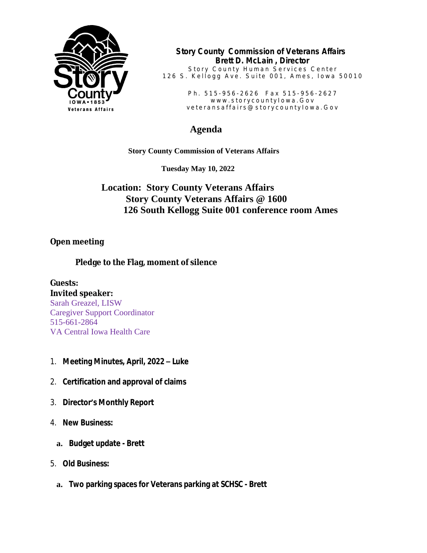

**Story County Commission of Veterans Affairs Brett D. McLain , Director**

Story County Human Services Center 126 S. Kellogg Ave. Suite 001, Ames, Iowa 50010

> Ph. 515-956-2626 Fax 515-956-2627 www.storycountylowa.Gov v e t e r a n s a f f a i r s @ s t o r y c o u n t y l o w a . G o v

## **Agenda**

 **Story County Commission of Veterans Affairs**

 **Tuesday May 10, 2022**

## **Location: Story County Veterans Affairs Story County Veterans Affairs @ 1600 126 South Kellogg Suite 001 conference room Ames**

## **Open meeting**

## **Pledge to the Flag, moment of silence**

**Guests: Invited speaker:** Sarah Greazel, LISW Caregiver Support Coordinator 515-661-2864 VA Central Iowa Health Care

- 1. **Meeting Minutes, April, 2022 – Luke**
- 2. **Certification and approval of claims**
- 3. **Director's Monthly Report**
- 4. **New Business:**
	- **a. Budget update Brett**
- 5. **Old Business:**
	- **a. Two parking spaces for Veterans parking at SCHSC Brett**